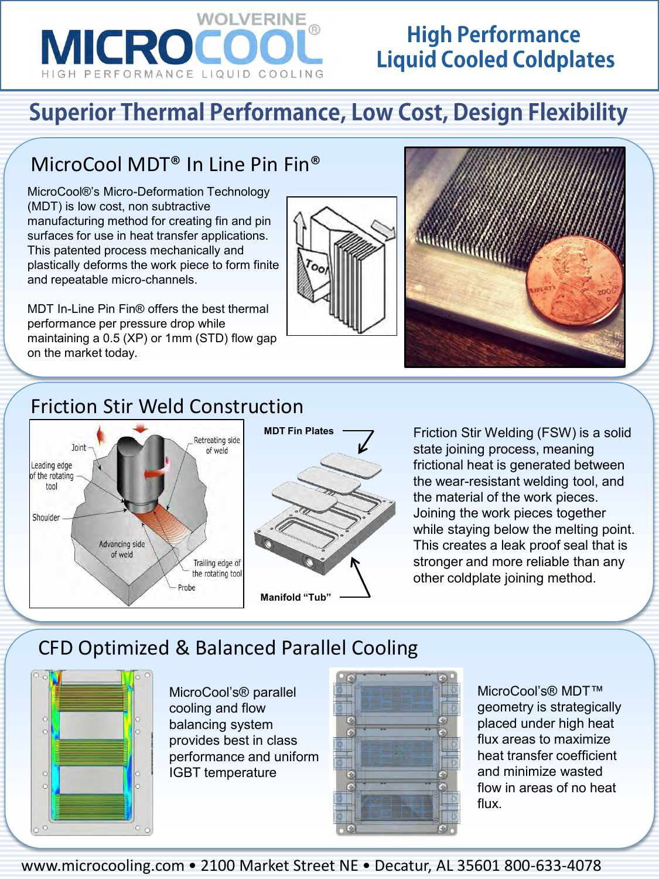

## **High Performance Liquid Cooled Coldplates**

# **Superior Thermal Performance, Low Cost, Design Flexibility**

### MicroCool MDT® In Line Pin Fin®

MicroCool®'s Micro-Deformation Technology (MDT) is low cost, non subtractive manufacturing method for creating fin and pin surfaces for use in heat transfer applications. This patented process mechanically and plastically deforms the work piece to form finite and repeatable micro-channels.

MDT In-Line Pin Fin® offers the best thermal performance per pressure drop while maintaining a 0.5 (XP) or 1mm (STD) flow gap on the market today.





#### Friction Stir Weld Construction



Friction Stir Welding (FSW) is a solid state joining process, meaning frictional heat is generated between the wear-resistant welding tool, and the material of the work pieces. Joining the work pieces together while staying below the melting point. This creates a leak proof seal that is stronger and more reliable than any other coldplate joining method.

### CFD Optimized & Balanced Parallel Cooling



MicroCool's® parallel cooling and flow balancing system provides best in class performance and uniform IGBT temperature



MicroCool's® MDT™ geometry is strategically placed under high heat flux areas to maximize heat transfer coefficient and minimize wasted flow in areas of no heat flux.

www.microcooling.com • 2100 Market Street NE • Decatur, AL 35601 800-633-4078